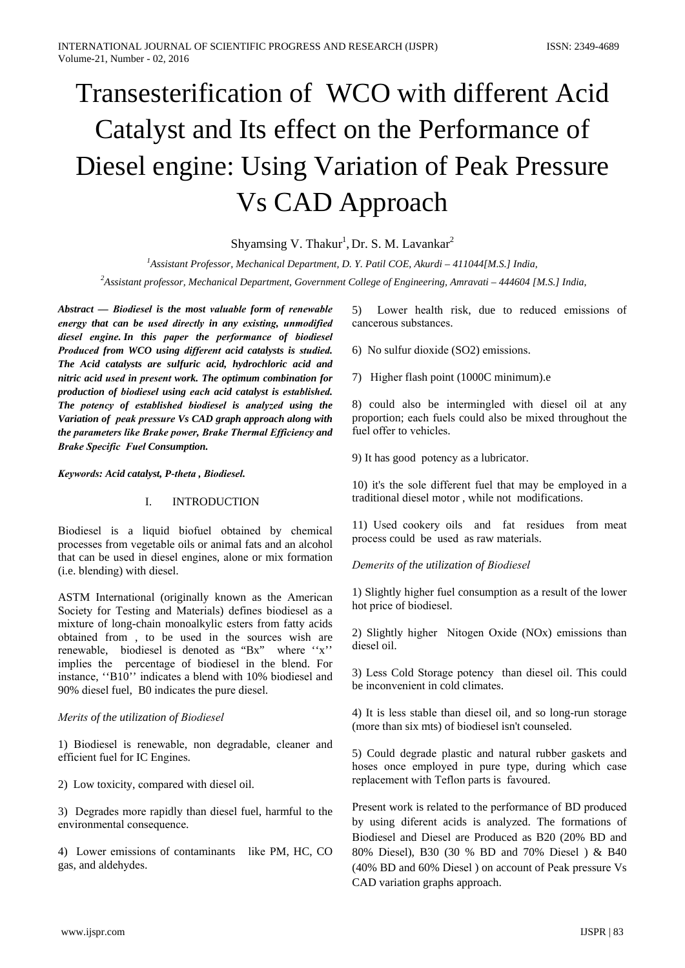# Transesterification of WCO with different Acid Catalyst and Its effect on the Performance of Diesel engine: Using Variation of Peak Pressure **Vs CAD Approach**

Shyamsing V. Thakur<sup>1</sup>, Dr. S. M. Lavankar<sup>2</sup>

<sup>1</sup>Assistant Professor, Mechanical Department, D. Y. Patil COE, Akurdi - 411044[M.S.] India,

<sup>2</sup>Assistant professor, Mechanical Department, Government College of Engineering, Amravati - 444604 [M.S.] India,

Abstract — Biodiesel is the most valuable form of renewable energy that can be used directly in any existing, unmodified diesel engine. In this paper the performance of biodiesel Produced from WCO using different acid catalysts is studied. The Acid catalysts are sulfuric acid, hydrochloric acid and nitric acid used in present work. The optimum combination for production of biodiesel using each acid catalyst is established. The potency of established biodiesel is analyzed using the Variation of peak pressure Vs CAD graph approach along with the parameters like Brake power, Brake Thermal Efficiency and **Brake Specific Fuel Consumption.** 

Keywords: Acid catalyst, P-theta, Biodiesel.

#### $\mathbf{L}$ **INTRODUCTION**

Biodiesel is a liquid biofuel obtained by chemical processes from vegetable oils or animal fats and an alcohol that can be used in diesel engines, alone or mix formation (i.e. blending) with diesel.

ASTM International (originally known as the American Society for Testing and Materials) defines biodiesel as a mixture of long-chain monoalkylic esters from fatty acids obtained from , to be used in the sources wish are renewable, biodiesel is denoted as "Bx" where "x" implies the percentage of biodiesel in the blend. For instance, "B10" indicates a blend with 10% biodiesel and 90% diesel fuel, B0 indicates the pure diesel.

# Merits of the utilization of Biodiesel

1) Biodiesel is renewable, non degradable, cleaner and efficient fuel for IC Engines.

2) Low toxicity, compared with diesel oil.

3) Degrades more rapidly than diesel fuel, harmful to the environmental consequence.

4) Lower emissions of contaminants like PM, HC, CO gas, and aldehydes.

5) Lower health risk, due to reduced emissions of cancerous substances.

6) No sulfur dioxide (SO2) emissions.

7) Higher flash point (1000C minimum).e

8) could also be intermingled with diesel oil at any proportion; each fuels could also be mixed throughout the fuel offer to vehicles.

9) It has good potency as a lubricator.

10) it's the sole different fuel that may be employed in a traditional diesel motor, while not modifications.

11) Used cookery oils and fat residues from meat process could be used as raw materials.

Demerits of the utilization of Biodiesel

1) Slightly higher fuel consumption as a result of the lower hot price of biodiesel.

2) Slightly higher Nitogen Oxide (NOx) emissions than diesel oil.

3) Less Cold Storage potency than diesel oil. This could be inconvenient in cold climates.

4) It is less stable than diesel oil, and so long-run storage (more than six mts) of biodiesel isn't counseled.

5) Could degrade plastic and natural rubber gaskets and hoses once employed in pure type, during which case replacement with Teflon parts is favoured.

Present work is related to the performance of BD produced by using diferent acids is analyzed. The formations of Biodiesel and Diesel are Produced as B20 (20% BD and 80% Diesel), B30 (30 % BD and 70% Diesel) & B40 (40% BD and 60% Diesel) on account of Peak pressure Vs CAD variation graphs approach.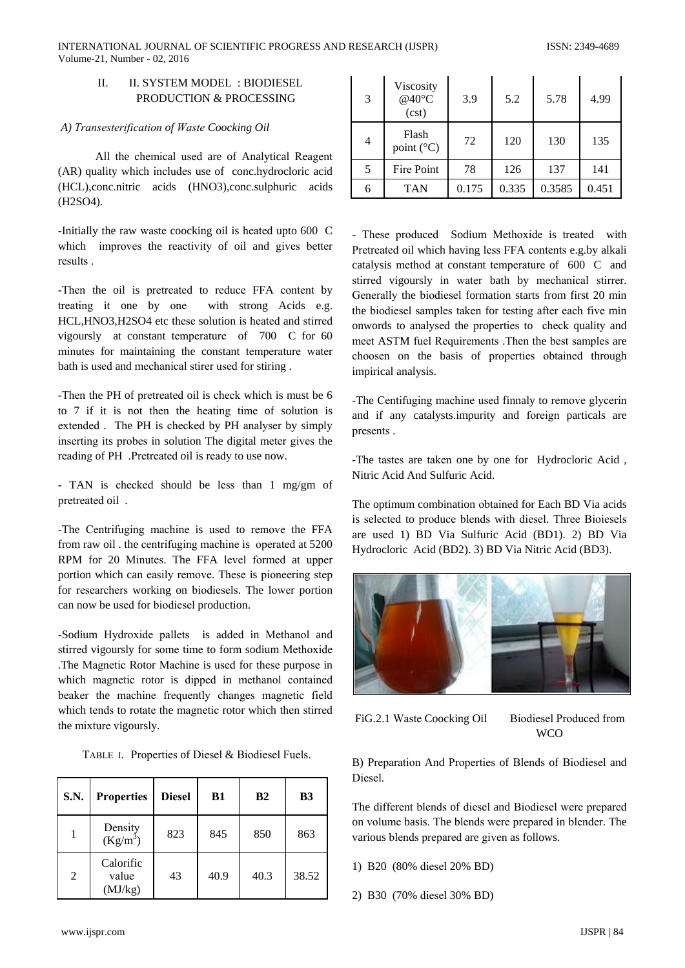#### II. SYSTEM MODEL: BIODIESEL  $\Pi$ PRODUCTION & PROCESSING

# A) Transesterification of Waste Coocking Oil

All the chemical used are of Analytical Reagent (AR) quality which includes use of conc.hydrocloric acid (HCL), conc.nitric acids (HNO3), conc.sulphuric acids  $(H2SO4).$ 

-Initially the raw waste coocking oil is heated upto 600 C which improves the reactivity of oil and gives better results.

-Then the oil is pretreated to reduce FFA content by treating it one by one with strong Acids e.g. HCL, HNO3, H2SO4 etc these solution is heated and stirred vigoursly at constant temperature of 700 C for 60 minutes for maintaining the constant temperature water bath is used and mechanical stirer used for stiring.

-Then the PH of pretreated oil is check which is must be 6 to 7 if it is not then the heating time of solution is extended. The PH is checked by PH analyser by simply inserting its probes in solution The digital meter gives the reading of PH. Pretreated oil is ready to use now.

- TAN is checked should be less than 1 mg/gm of pretreated oil.

-The Centrifuging machine is used to remove the FFA from raw oil the centrifuging machine is operated at 5200 RPM for 20 Minutes. The FFA level formed at upper portion which can easily remove. These is pioneering step for researchers working on biodiesels. The lower portion can now be used for biodiesel production.

-Sodium Hydroxide pallets is added in Methanol and stirred vigoursly for some time to form sodium Methoxide The Magnetic Rotor Machine is used for these purpose in which magnetic rotor is dipped in methanol contained beaker the machine frequently changes magnetic field which tends to rotate the magnetic rotor which then stirred the mixture vigoursly.

|  | TABLE I. Properties of Diesel & Biodiesel Fuels. |
|--|--------------------------------------------------|
|--|--------------------------------------------------|

| <b>S.N.</b>    | <b>Properties</b>             | <b>Diesel</b> | <b>B1</b> | B2   | B <sub>3</sub> |
|----------------|-------------------------------|---------------|-----------|------|----------------|
|                | Density<br>$(Kg/m^3)$         | 823           | 845       | 850  | 863            |
| $\overline{2}$ | Calorific<br>value<br>(MJ/kg) | 43            | 40.9      | 40.3 | 38.52          |

| 3 | Viscosity<br>@40°C<br>(cst)  | 3.9   | 5.2   | 5.78   | 4.99  |
|---|------------------------------|-------|-------|--------|-------|
| 4 | Flash<br>point $(^{\circ}C)$ | 72    | 120   | 130    | 135   |
| 5 | Fire Point                   | 78    | 126   | 137    | 141   |
| 6 | <b>TAN</b>                   | 0.175 | 0.335 | 0.3585 | 0.451 |

- These produced Sodium Methoxide is treated with Pretreated oil which having less FFA contents e.g.by alkali catalysis method at constant temperature of 600 C and stirred vigoursly in water bath by mechanical stirrer. Generally the biodiesel formation starts from first 20 min the biodiesel samples taken for testing after each five min onwords to analysed the properties to check quality and meet ASTM fuel Requirements .Then the best samples are choosen on the basis of properties obtained through impirical analysis.

-The Centifuging machine used finnaly to remove glycerin and if any catalysts.impurity and foreign particals are presents.

-The tastes are taken one by one for Hydrocloric Acid, Nitric Acid And Sulfuric Acid.

The optimum combination obtained for Each BD Via acids is selected to produce blends with diesel. Three Bioiesels are used 1) BD Via Sulfuric Acid (BD1). 2) BD Via Hydrocloric Acid (BD2). 3) BD Via Nitric Acid (BD3).



FiG.2.1 Waste Coocking Oil

**Biodiesel Produced from WCO** 

B) Preparation And Properties of Blends of Biodiesel and Diesel.

The different blends of diesel and Biodiesel were prepared on volume basis. The blends were prepared in blender. The various blends prepared are given as follows.

- 1) B20 (80% diesel 20% BD)
- 2) B30 (70% diesel 30% BD)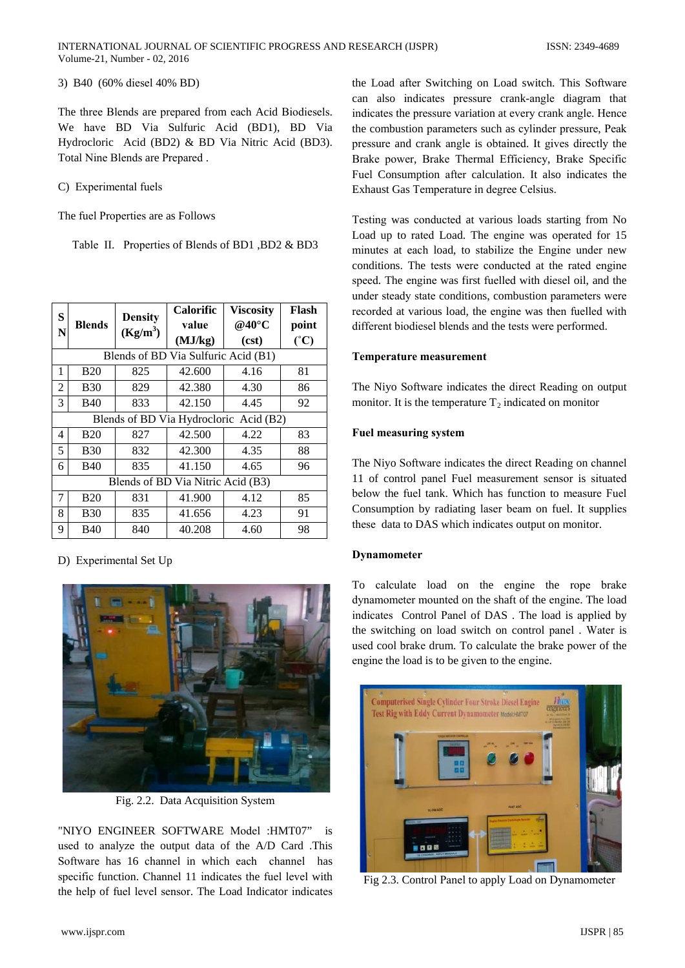3) B40 (60% diesel 40% BD)

The three Blends are prepared from each Acid Biodiesels. We have BD Via Sulfuric Acid (BD1), BD Via Hydrocloric Acid (BD2) & BD Via Nitric Acid (BD3). Total Nine Blends are Prepared.

C) Experimental fuels

The fuel Properties are as Follows

Table II. Properties of Blends of BD1, BD2 & BD3

| S<br>N                                 | <b>Blends</b>                       | <b>Density</b><br>$(Kg/m^3)$ | <b>Calorific</b><br>value<br>(MJ/kg) | Viscositv<br>@40°C<br>(cst) | Flash<br>point<br>(°C) |  |  |
|----------------------------------------|-------------------------------------|------------------------------|--------------------------------------|-----------------------------|------------------------|--|--|
|                                        | Blends of BD Via Sulfuric Acid (B1) |                              |                                      |                             |                        |  |  |
| 1                                      | <b>B20</b>                          | 825                          | 42.600                               | 4.16                        | 81                     |  |  |
| 2                                      | <b>B30</b>                          | 829                          | 42.380                               | 4.30                        | 86                     |  |  |
| 3                                      | <b>B40</b>                          | 833                          | 42.150                               | 4.45                        | 92                     |  |  |
| Blends of BD Via Hydrocloric Acid (B2) |                                     |                              |                                      |                             |                        |  |  |
| 4                                      | <b>B20</b>                          | 827                          | 42.500                               | 4.22                        | 83                     |  |  |
| 5                                      | <b>B30</b>                          | 832                          | 42.300                               | 4.35                        | 88                     |  |  |
| 6                                      | <b>B40</b>                          | 835                          | 41.150                               | 4.65                        | 96                     |  |  |
| Blends of BD Via Nitric Acid (B3)      |                                     |                              |                                      |                             |                        |  |  |
| 7                                      | <b>B20</b>                          | 831                          | 41.900                               | 4.12                        | 85                     |  |  |
| 8                                      | <b>B30</b>                          | 835                          | 41.656                               | 4.23                        | 91                     |  |  |
| 9                                      | <b>B40</b>                          | 840                          | 40.208                               | 4.60                        | 98                     |  |  |

## D) Experimental Set Up



Fig. 2.2. Data Acquisition System

"NIYO ENGINEER SOFTWARE Model :HMT07" is used to analyze the output data of the A/D Card .This Software has 16 channel in which each channel has specific function. Channel 11 indicates the fuel level with the help of fuel level sensor. The Load Indicator indicates the Load after Switching on Load switch. This Software can also indicates pressure crank-angle diagram that indicates the pressure variation at every crank angle. Hence the combustion parameters such as cylinder pressure, Peak pressure and crank angle is obtained. It gives directly the Brake power, Brake Thermal Efficiency, Brake Specific Fuel Consumption after calculation. It also indicates the Exhaust Gas Temperature in degree Celsius.

Testing was conducted at various loads starting from No Load up to rated Load. The engine was operated for 15 minutes at each load, to stabilize the Engine under new conditions. The tests were conducted at the rated engine speed. The engine was first fuelled with diesel oil, and the under steady state conditions, combustion parameters were recorded at various load, the engine was then fuelled with different biodiesel blends and the tests were performed.

## **Temperature measurement**

The Niyo Software indicates the direct Reading on output monitor. It is the temperature  $T_2$  indicated on monitor

# **Fuel measuring system**

The Niyo Software indicates the direct Reading on channel 11 of control panel Fuel measurement sensor is situated below the fuel tank. Which has function to measure Fuel Consumption by radiating laser beam on fuel. It supplies these data to DAS which indicates output on monitor.

## **Dynamometer**

To calculate load on the engine the rope brake dynamometer mounted on the shaft of the engine. The load indicates Control Panel of DAS. The load is applied by the switching on load switch on control panel . Water is used cool brake drum. To calculate the brake power of the engine the load is to be given to the engine.



Fig 2.3. Control Panel to apply Load on Dynamometer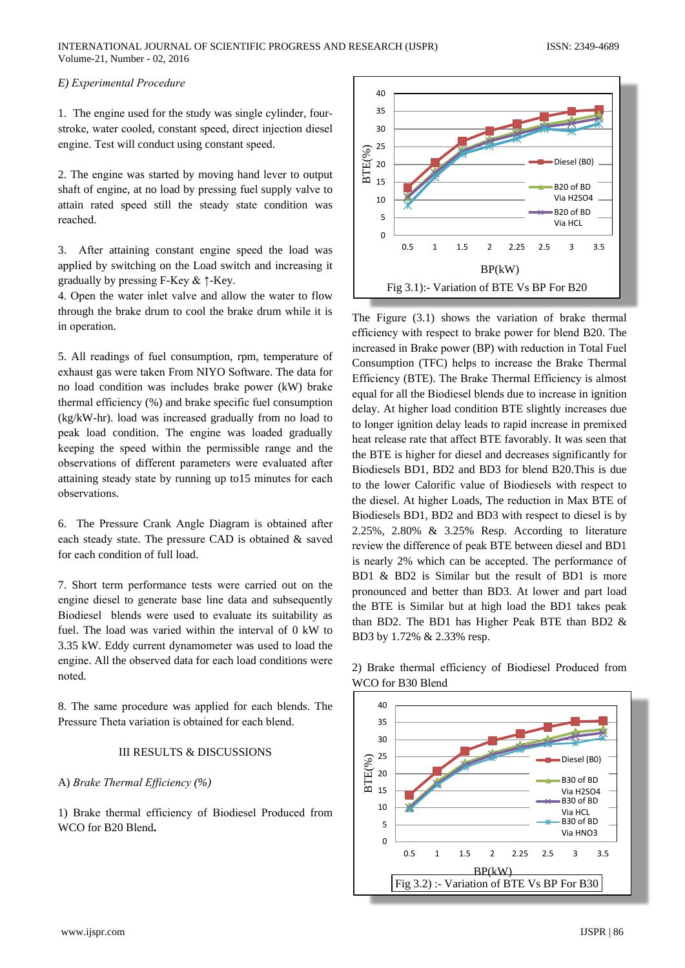# E) Experimental Procedure

1. The engine used for the study was single cylinder, fourstroke, water cooled, constant speed, direct injection diesel engine. Test will conduct using constant speed.

2. The engine was started by moving hand lever to output shaft of engine, at no load by pressing fuel supply valve to attain rated speed still the steady state condition was reached.

3. After attaining constant engine speed the load was applied by switching on the Load switch and increasing it gradually by pressing F-Key  $\& \uparrow$ -Key.

4. Open the water inlet valve and allow the water to flow through the brake drum to cool the brake drum while it is in operation.

5. All readings of fuel consumption, rpm, temperature of exhaust gas were taken From NIYO Software. The data for no load condition was includes brake power (kW) brake thermal efficiency (%) and brake specific fuel consumption (kg/kW-hr). load was increased gradually from no load to peak load condition. The engine was loaded gradually keeping the speed within the permissible range and the observations of different parameters were evaluated after attaining steady state by running up to 15 minutes for each observations.

6. The Pressure Crank Angle Diagram is obtained after each steady state. The pressure CAD is obtained & saved for each condition of full load.

7. Short term performance tests were carried out on the engine diesel to generate base line data and subsequently Biodiesel blends were used to evaluate its suitability as fuel. The load was varied within the interval of 0 kW to 3.35 kW. Eddy current dynamometer was used to load the engine. All the observed data for each load conditions were noted.

8. The same procedure was applied for each blends. The Pressure Theta variation is obtained for each blend.

# **III RESULTS & DISCUSSIONS**

# A) Brake Thermal Efficiency (%)

1) Brake thermal efficiency of Biodiesel Produced from WCO for B20 Blend.



The Figure  $(3.1)$  shows the variation of brake thermal efficiency with respect to brake power for blend B20. The increased in Brake power (BP) with reduction in Total Fuel Consumption (TFC) helps to increase the Brake Thermal Efficiency (BTE). The Brake Thermal Efficiency is almost equal for all the Biodiesel blends due to increase in ignition delay. At higher load condition BTE slightly increases due to longer ignition delay leads to rapid increase in premixed heat release rate that affect BTE favorably. It was seen that the BTE is higher for diesel and decreases significantly for Biodiesels BD1, BD2 and BD3 for blend B20. This is due to the lower Calorific value of Biodiesels with respect to the diesel. At higher Loads, The reduction in Max BTE of Biodiesels BD1, BD2 and BD3 with respect to diesel is by 2.25%, 2.80% & 3.25% Resp. According to literature review the difference of peak BTE between diesel and BD1 is nearly 2% which can be accepted. The performance of BD1 & BD2 is Similar but the result of BD1 is more pronounced and better than BD3. At lower and part load the BTE is Similar but at high load the BD1 takes peak than BD2. The BD1 has Higher Peak BTE than BD2 & BD3 by 1.72% & 2.33% resp.



2) Brake thermal efficiency of Biodiesel Produced from WCO for B30 Blend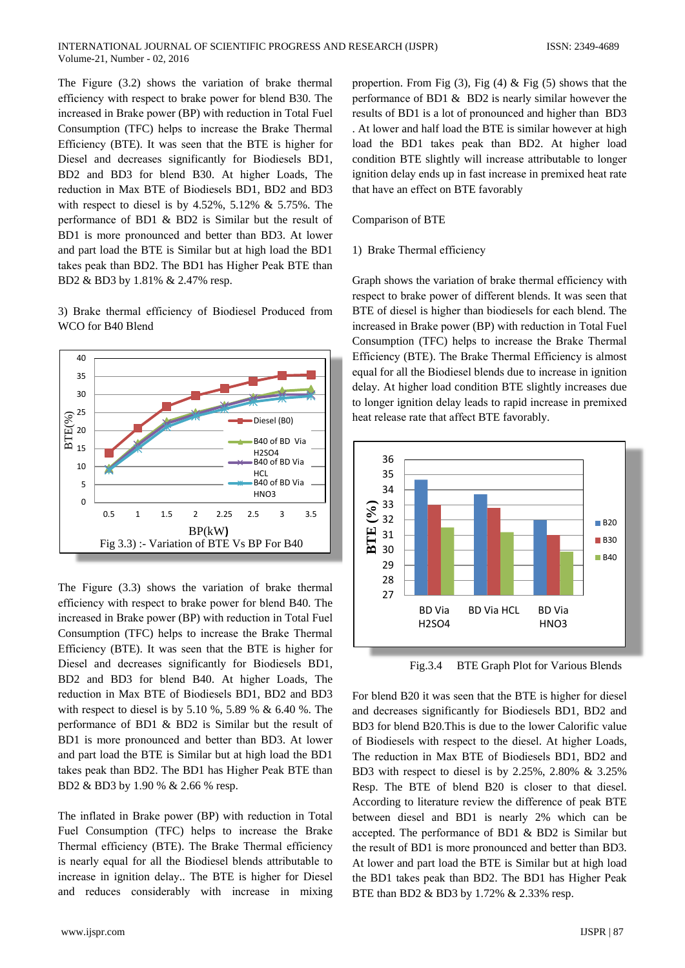The Figure (3.2) shows the variation of brake thermal efficiency with respect to brake power for blend B30. The increased in Brake power (BP) with reduction in Total Fuel Consumption (TFC) helps to increase the Brake Thermal Efficiency (BTE). It was seen that the BTE is higher for Diesel and decreases significantly for Biodiesels BD1, BD2 and BD3 for blend B30. At higher Loads, The reduction in Max BTE of Biodiesels BD1, BD2 and BD3 with respect to diesel is by  $4.52\%$ ,  $5.12\%$  &  $5.75\%$ . The performance of BD1 & BD2 is Similar but the result of BD1 is more pronounced and better than BD3. At lower and part load the BTE is Similar but at high load the BD1 takes peak than BD2. The BD1 has Higher Peak BTE than BD2 & BD3 by 1.81% & 2.47% resp.

3) Brake thermal efficiency of Biodiesel Produced from WCO for B40 Blend



The Figure (3.3) shows the variation of brake thermal efficiency with respect to brake power for blend B40. The increased in Brake power (BP) with reduction in Total Fuel Consumption (TFC) helps to increase the Brake Thermal Efficiency (BTE). It was seen that the BTE is higher for Diesel and decreases significantly for Biodiesels BD1, BD2 and BD3 for blend B40. At higher Loads, The reduction in Max BTE of Biodiesels BD1, BD2 and BD3 with respect to diesel is by 5.10 %, 5.89 % & 6.40 %. The performance of BD1 & BD2 is Similar but the result of BD1 is more pronounced and better than BD3. At lower and part load the BTE is Similar but at high load the BD1 takes peak than BD2. The BD1 has Higher Peak BTE than BD2 & BD3 by 1.90 % & 2.66 % resp.

The inflated in Brake power (BP) with reduction in Total Fuel Consumption (TFC) helps to increase the Brake Thermal efficiency (BTE). The Brake Thermal efficiency is nearly equal for all the Biodiesel blends attributable to increase in ignition delay.. The BTE is higher for Diesel and reduces considerably with increase in mixing propertion. From Fig  $(3)$ , Fig  $(4)$  & Fig  $(5)$  shows that the performance of BD1  $\&$  BD2 is nearly similar however the results of BD1 is a lot of pronounced and higher than BD3 . At lower and half load the BTE is similar however at high load the BD1 takes peak than BD2. At higher load condition BTE slightly will increase attributable to longer ignition delay ends up in fast increase in premixed heat rate that have an effect on BTE favorably

# Comparison of BTE

# 1) Brake Thermal efficiency

Graph shows the variation of brake thermal efficiency with respect to brake power of different blends. It was seen that BTE of diesel is higher than biodiesels for each blend. The increased in Brake power (BP) with reduction in Total Fuel Consumption (TFC) helps to increase the Brake Thermal Efficiency (BTE). The Brake Thermal Efficiency is almost equal for all the Biodiesel blends due to increase in ignition delay. At higher load condition BTE slightly increases due to longer ignition delay leads to rapid increase in premixed heat release rate that affect BTE favorably.



Fig.3.4 **BTE Graph Plot for Various Blends** 

For blend B20 it was seen that the BTE is higher for diesel and decreases significantly for Biodiesels BD1, BD2 and BD3 for blend B20. This is due to the lower Calorific value of Biodiesels with respect to the diesel. At higher Loads, The reduction in Max BTE of Biodiesels BD1, BD2 and BD3 with respect to diesel is by 2.25%, 2.80% & 3.25% Resp. The BTE of blend B20 is closer to that diesel. According to literature review the difference of peak BTE between diesel and BD1 is nearly 2% which can be accepted. The performance of BD1 & BD2 is Similar but the result of BD1 is more pronounced and better than BD3. At lower and part load the BTE is Similar but at high load the BD1 takes peak than BD2. The BD1 has Higher Peak BTE than BD2 & BD3 by 1.72% & 2.33% resp.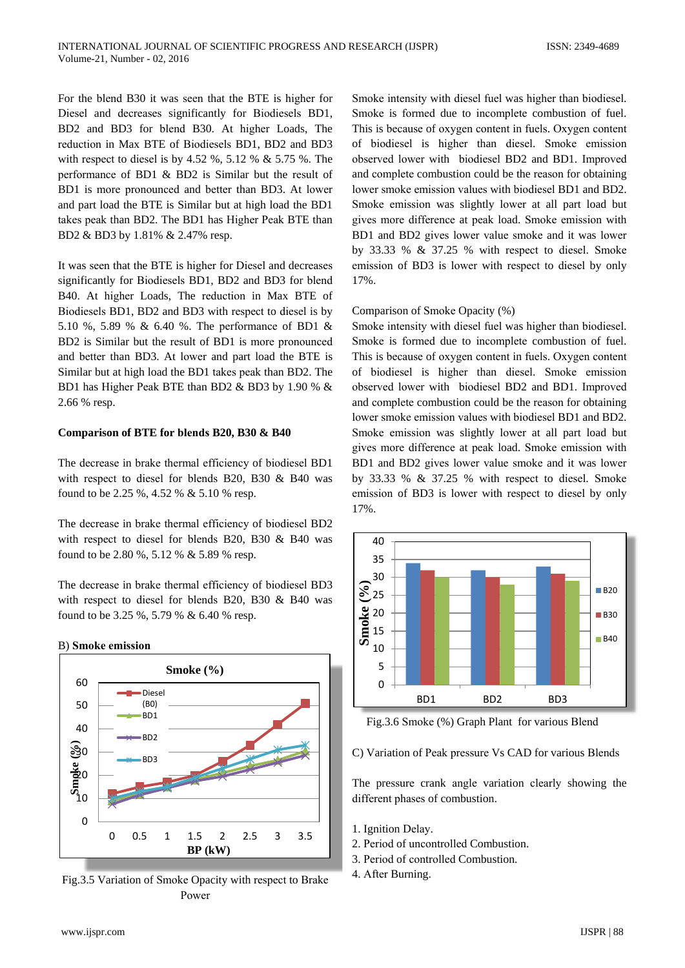For the blend B30 it was seen that the BTE is higher for Diesel and decreases significantly for Biodiesels BD1, BD2 and BD3 for blend B30. At higher Loads, The reduction in Max BTE of Biodiesels BD1, BD2 and BD3 with respect to diesel is by 4.52 %, 5.12 % & 5.75 %. The performance of BD1 & BD2 is Similar but the result of BD1 is more pronounced and better than BD3. At lower and part load the BTE is Similar but at high load the BD1 takes peak than BD2. The BD1 has Higher Peak BTE than BD2 & BD3 by 1.81% & 2.47% resp.

It was seen that the BTE is higher for Diesel and decreases significantly for Biodiesels BD1, BD2 and BD3 for blend B40. At higher Loads, The reduction in Max BTE of Biodiesels BD1, BD2 and BD3 with respect to diesel is by 5.10 %, 5.89 % & 6.40 %. The performance of BD1 & BD2 is Similar but the result of BD1 is more pronounced and better than BD3. At lower and part load the BTE is Similar but at high load the BD1 takes peak than BD2. The BD1 has Higher Peak BTE than BD2 & BD3 by 1.90 % & 2.66 % resp.

# Comparison of BTE for blends B20, B30 & B40

The decrease in brake thermal efficiency of biodiesel BD1 with respect to diesel for blends B20, B30 & B40 was found to be 2.25 %, 4.52 % & 5.10 % resp.

The decrease in brake thermal efficiency of biodiesel BD2 with respect to diesel for blends B20, B30 & B40 was found to be 2.80 %, 5.12 % & 5.89 % resp.

The decrease in brake thermal efficiency of biodiesel BD3 with respect to diesel for blends B20, B30 & B40 was found to be 3.25 %, 5.79 % & 6.40 % resp.



Fig.3.5 Variation of Smoke Opacity with respect to Brake Power

Smoke intensity with diesel fuel was higher than biodiesel. Smoke is formed due to incomplete combustion of fuel. This is because of oxygen content in fuels. Oxygen content of biodiesel is higher than diesel. Smoke emission observed lower with biodiesel BD2 and BD1. Improved and complete combustion could be the reason for obtaining lower smoke emission values with biodiesel BD1 and BD2. Smoke emission was slightly lower at all part load but gives more difference at peak load. Smoke emission with BD1 and BD2 gives lower value smoke and it was lower by 33.33 %  $\&$  37.25 % with respect to diesel. Smoke emission of BD3 is lower with respect to diesel by only 17%

# Comparison of Smoke Opacity (%)

Smoke intensity with diesel fuel was higher than biodiesel. Smoke is formed due to incomplete combustion of fuel. This is because of oxygen content in fuels. Oxygen content of biodiesel is higher than diesel. Smoke emission observed lower with biodiesel BD2 and BD1. Improved and complete combustion could be the reason for obtaining lower smoke emission values with biodiesel BD1 and BD2. Smoke emission was slightly lower at all part load but gives more difference at peak load. Smoke emission with BD1 and BD2 gives lower value smoke and it was lower by 33.33 %  $\&$  37.25 % with respect to diesel. Smoke emission of BD3 is lower with respect to diesel by only 17%.



Fig.3.6 Smoke (%) Graph Plant for various Blend

C) Variation of Peak pressure Vs CAD for various Blends

The pressure crank angle variation clearly showing the different phases of combustion.

- 1. Ignition Delay.
- 2. Period of uncontrolled Combustion.
- 3. Period of controlled Combustion.
- 4. After Burning.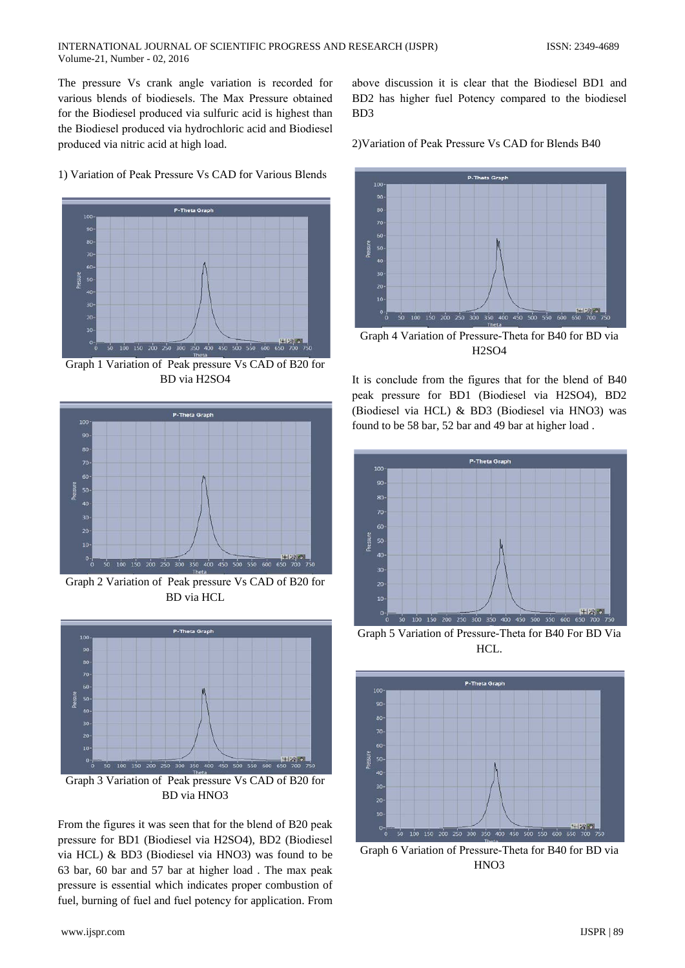The pressure Vs crank angle variation is recorded for various blends of biodiesels. The Max Pressure obtained for the Biodiesel produced via sulfuric acid is highest than the Biodiesel produced via hydrochloric acid and Biodiesel produced via nitric acid at high load.

above discussion it is clear that the Biodiesel BD1 and BD2 has higher fuel Potency compared to the biodiesel B<sub>D</sub>3

2) Variation of Peak Pressure Vs CAD for Blends B40



Graph 4 Variation of Pressure-Theta for B40 for BD via **H2SO4** 

It is conclude from the figures that for the blend of B40 peak pressure for BD1 (Biodiesel via H2SO4), BD2 (Biodiesel via HCL) & BD3 (Biodiesel via HNO3) was found to be 58 bar, 52 bar and 49 bar at higher load.



Graph 5 Variation of Pressure-Theta for B40 For BD Via HCL.



Graph 6 Variation of Pressure-Theta for B40 for BD via HNO<sub>3</sub>

1) Variation of Peak Pressure Vs CAD for Various Blends



Graph 1 Variation of Peak pressure Vs CAD of B20 for BD via H2SO4



Graph 2 Variation of Peak pressure Vs CAD of B20 for **BD** via HCL



Graph 3 Variation of Peak pressure Vs CAD of B20 for BD via HNO3

From the figures it was seen that for the blend of B20 peak pressure for BD1 (Biodiesel via H2SO4), BD2 (Biodiesel via HCL) & BD3 (Biodiesel via HNO3) was found to be 63 bar, 60 bar and 57 bar at higher load. The max peak pressure is essential which indicates proper combustion of fuel, burning of fuel and fuel potency for application. From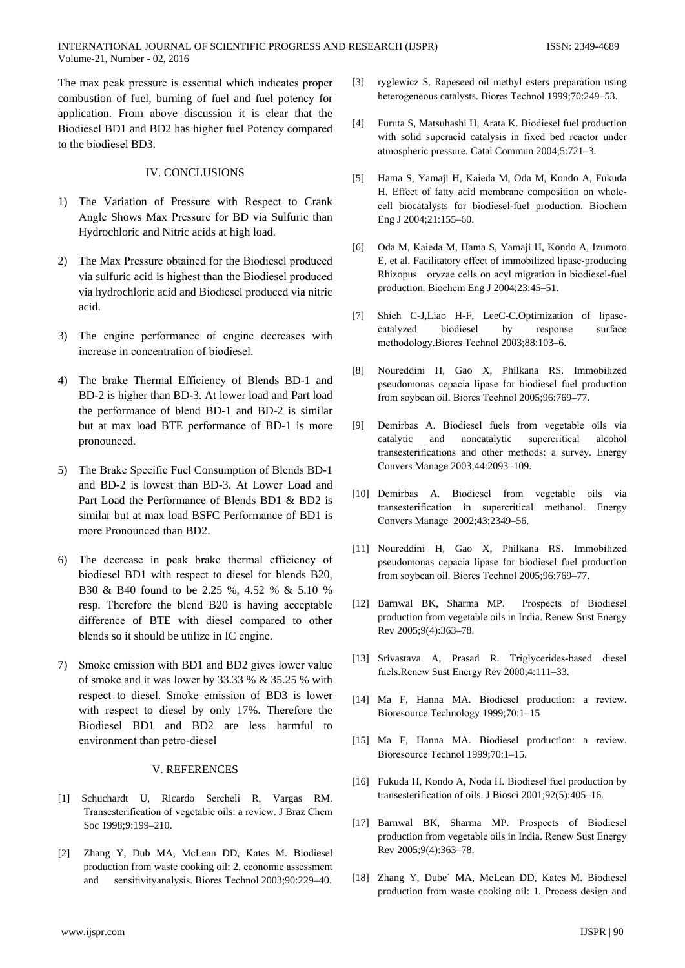The max peak pressure is essential which indicates proper combustion of fuel, burning of fuel and fuel potency for application. From above discussion it is clear that the Biodiesel BD1 and BD2 has higher fuel Potency compared to the biodiesel BD3.

# **IV. CONCLUSIONS**

- 1) The Variation of Pressure with Respect to Crank Angle Shows Max Pressure for BD via Sulfuric than Hydrochloric and Nitric acids at high load.
- 2) The Max Pressure obtained for the Biodiesel produced via sulfuric acid is highest than the Biodiesel produced via hydrochloric acid and Biodiesel produced via nitric acid.
- 3) The engine performance of engine decreases with increase in concentration of biodiesel.
- 4) The brake Thermal Efficiency of Blends BD-1 and BD-2 is higher than BD-3. At lower load and Part load the performance of blend BD-1 and BD-2 is similar but at max load BTE performance of BD-1 is more pronounced.
- 5) The Brake Specific Fuel Consumption of Blends BD-1 and BD-2 is lowest than BD-3. At Lower Load and Part Load the Performance of Blends BD1 & BD2 is similar but at max load BSFC Performance of BD1 is more Pronounced than BD2.
- 6) The decrease in peak brake thermal efficiency of biodiesel BD1 with respect to diesel for blends B20, B30 & B40 found to be 2.25 %, 4.52 % & 5.10 % resp. Therefore the blend B20 is having acceptable difference of BTE with diesel compared to other blends so it should be utilize in IC engine.
- 7) Smoke emission with BD1 and BD2 gives lower value of smoke and it was lower by 33.33 % & 35.25 % with respect to diesel. Smoke emission of BD3 is lower with respect to diesel by only 17%. Therefore the Biodiesel BD1 and BD2 are less harmful to environment than petro-diesel

#### V. REFERENCES

- [1] Schuchardt U, Ricardo Sercheli R, Vargas RM. Transesterification of vegetable oils: a review. J Braz Chem Soc 1998;9:199-210.
- [2] Zhang Y, Dub MA, McLean DD, Kates M. Biodiesel production from waste cooking oil: 2. economic assessment sensitivityanalysis. Biores Technol 2003;90:229-40. and
- $[3]$ ryglewicz S. Rapeseed oil methyl esters preparation using heterogeneous catalysts. Biores Technol 1999;70:249-53.
- Furuta S. Matsuhashi H. Arata K. Biodiesel fuel production  $[4]$ with solid superacid catalysis in fixed bed reactor under atmospheric pressure. Catal Commun 2004;5:721-3.
- Hama S, Yamaji H, Kaieda M, Oda M, Kondo A, Fukuda  $\lceil 5 \rceil$ H. Effect of fatty acid membrane composition on wholecell biocatalysts for biodiesel-fuel production. Biochem Eng J 2004;21:155-60.
- Oda M, Kaieda M, Hama S, Yamaji H, Kondo A, Izumoto  $[6]$ E, et al. Facilitatory effect of immobilized lipase-producing Rhizopus oryzae cells on acyl migration in biodiesel-fuel production. Biochem Eng J 2004;23:45-51.
- Shieh C-J,Liao H-F, LeeC-C.Optimization of lipase- $[7]$ catalyzed biodiesel by response surface methodology.Biores Technol 2003;88:103-6.
- Noureddini H, Gao X, Philkana RS. Immobilized  $[8]$ pseudomonas cepacia lipase for biodiesel fuel production from sovbean oil. Biores Technol 2005:96:769-77.
- $[9]$ Demirbas A. Biodiesel fuels from vegetable oils via catalytic and noncatalytic supercritical alcohol transesterifications and other methods: a survey. Energy Convers Manage 2003;44:2093-109.
- [10] Demirbas A. Biodiesel from vegetable oils via transesterification in supercritical methanol. Energy Convers Manage 2002;43:2349-56.
- [11] Noureddini H. Gao X. Philkana RS. Immobilized pseudomonas cepacia lipase for biodiesel fuel production from soybean oil. Biores Technol 2005;96:769-77.
- [12] Barnwal BK, Sharma MP. Prospects of Biodiesel production from vegetable oils in India. Renew Sust Energy Rev 2005;9(4):363-78.
- [13] Srivastava A, Prasad R. Triglycerides-based diesel fuels. Renew Sust Energy Rev 2000;4:111-33.
- [14] Ma F. Hanna MA. Biodiesel production: a review. Bioresource Technology 1999:70:1-15
- [15] Ma F, Hanna MA. Biodiesel production: a review. Bioresource Technol 1999;70:1-15.
- [16] Fukuda H, Kondo A, Noda H. Biodiesel fuel production by transesterification of oils. J Biosci 2001;92(5):405-16.
- [17] Barnwal BK, Sharma MP. Prospects of Biodiesel production from vegetable oils in India. Renew Sust Energy Rev 2005;9(4):363-78.
- [18] Zhang Y, Dube' MA, McLean DD, Kates M, Biodiesel production from waste cooking oil: 1. Process design and